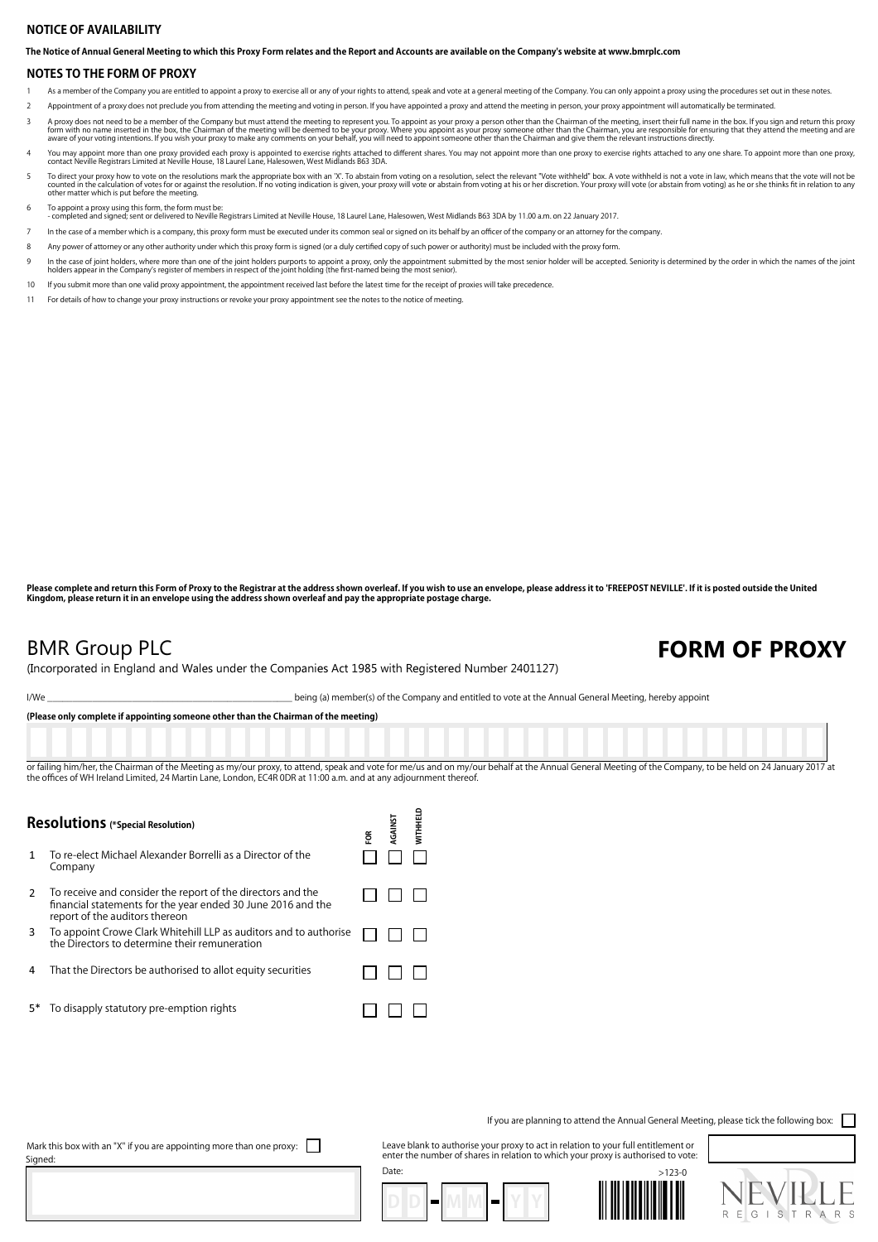### **NOTICE OF AVAILABILITY**

**The Notice of Annual General Meeting to which this Proxy Form relates and the Report and Accounts are available on the Company's website at www.bmrplc.com**

#### **NOTES TO THE FORM OF PROXY**

- As a member of the Company you are entitled to appoint a proxy to exercise all or any of your rights to attend, speak and vote at a general meeting of the Company. You can only appoint a proxy using the procedures set out
- Appointment of a proxy does not preclude you from attending the meeting and voting in person. If you have appointed a proxy and attend the meeting in person, your proxy appointment will automatically be terminated.
- A proxy does not need to be a member of the Company but must attend the meeting to represent you. To appoint as your proxy a person other than the Chairman of the meeting, insert their full name in the box. If you sign and 3
- You may appoint more than one proxy provided each proxy is appointed to exercise rights attached to different shares. You may not appoint more than one proxy to exercise rights attached to any one share. To appoint more th 4
- To direct your proxy how to vote on the resolutions mark the appropriate box with an 'X'. To abstain from voting on a resolution, select the relevant "Vote withheld" box. A vote withheld is not a vote in law, which means t 5
- 6
- To appoint a proxy using this form, the form must be:<br>- completed and signed; sent or delivered to Neville Registrars Limited at Neville House, 18 Laurel Lane, Halesowen, West Midlands 663 3DA by 11.00 a.m. on 22 January 2
- In the case of a member which is a company, this proxy form must be executed under its common seal or signed on its behalf by an officer of the company or an attorney for the company.
- 8 Any power of attorney or any other authority under which this proxy form is signed (or a duly certified copy of such power or authority) must be included with the proxy form.
- In the case of joint holders, where more than one of the joint holders purports to appoint a proxy, only the appointment submitted by the most senior holder will be accepted. Seniority is determined by the order in which t 9
- 10 If you submit more than one valid proxy appointment, the appointment received last before the latest time for the receipt of proxies will take precedence.
- 11 For details of how to change your proxy instructions or revoke your proxy appointment see the notes to the notice of meeting.

**Please complete and return this Form of Proxy to the Registrar at the address shown overleaf. If you wish to use an envelope, please address it to 'FREEPOST NEVILLE'. If it is posted outside the United Kingdom, please return it in an envelope using the address shown overleaf and pay the appropriate postage charge.**

## BMR Group PLC

## FORM OF PROXY

(Incorporated in England and Wales under the Companies Act 1985 with Registered Number 2401127)

I/We \_\_\_\_\_\_\_\_\_\_\_\_\_\_\_\_\_\_\_\_\_\_\_\_\_\_\_\_\_\_\_\_\_\_\_\_\_\_\_\_\_\_\_\_\_\_\_\_\_ being (a) member(s) of the Company and entitled to vote at the Annual General Meeting, hereby appoint

**(Please only complete if appointing someone other than the Chairman of the meeting)**

or failing him/her, the Chairman of the Meeting as my/our proxy, to attend, speak and yote for me/us and on my/our behalf at the Annual General Meeting of the Company, to be held on 24 January 2017 at the offices of WH Ireland Limited, 24 Martin Lane, London, EC4R 0DR at 11:00 a.m. and at any adjournment there

| <b>Resolutions</b> (*Special Resolution) |                                                                                                                                                               | ទូ | <b>AGAINST</b> | <b>MITHHELD</b> |
|------------------------------------------|---------------------------------------------------------------------------------------------------------------------------------------------------------------|----|----------------|-----------------|
|                                          | To re-elect Michael Alexander Borrelli as a Director of the<br>Company                                                                                        |    |                |                 |
| 2                                        | To receive and consider the report of the directors and the<br>financial statements for the year ended 30 June 2016 and the<br>report of the auditors thereon |    |                |                 |
| 3                                        | To appoint Crowe Clark Whitehill LLP as auditors and to authorise<br>the Directors to determine their remuneration                                            |    |                |                 |
| 4                                        | That the Directors be authorised to allot equity securities                                                                                                   |    |                |                 |
| 5*                                       | To disapply statutory pre-emption rights                                                                                                                      |    |                |                 |

If you are planning to attend the Annual General Meeting, please tick the following box:

Mark this box with an "X" if you are appointing more than one proxy:  $\Box$ Signed:

Leave blank to authorise your proxy to act in relation to your full entitlement or enter the number of shares in relation to which your proxy is authorised to vote: Date: